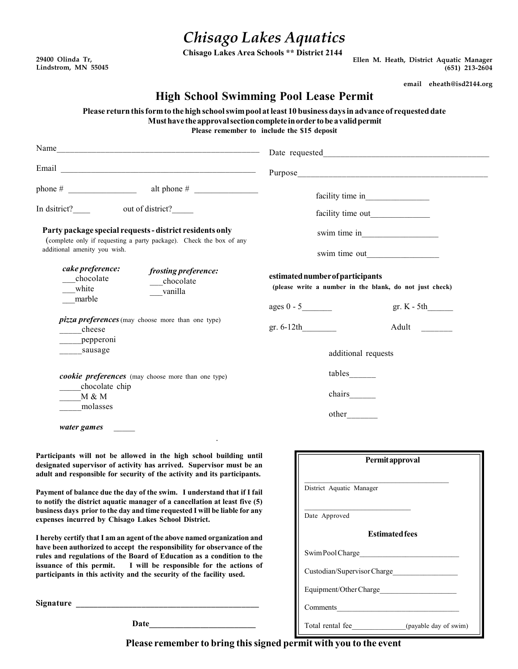## Chisago Lakes Aquatics

Chisago Lakes Area Schools \*\* District 2144

29400 Olinda Tr, Lindstrom, MN 55045 Ellen M. Heath, District Aquatic Manager (651) 213-2604

email eheath@isd2144.org

Щ

## High School Swimming Pool Lease Permit

Please return this form to the high school swim pool at least 10 business days in advance of requested date Must have the approval section complete in order to be a valid permit

Please remember to include the \$15 deposit

| Name                                                                                                                                                                                                                                                                                                                                                                                                                                                                                                                                                                                                                                                                                                                                                                                                                                                                                                |                                                                                                                                                                        |
|-----------------------------------------------------------------------------------------------------------------------------------------------------------------------------------------------------------------------------------------------------------------------------------------------------------------------------------------------------------------------------------------------------------------------------------------------------------------------------------------------------------------------------------------------------------------------------------------------------------------------------------------------------------------------------------------------------------------------------------------------------------------------------------------------------------------------------------------------------------------------------------------------------|------------------------------------------------------------------------------------------------------------------------------------------------------------------------|
|                                                                                                                                                                                                                                                                                                                                                                                                                                                                                                                                                                                                                                                                                                                                                                                                                                                                                                     | Purpose_                                                                                                                                                               |
| phone # $\frac{1}{\sqrt{1-\frac{1}{2}} \cdot \frac{1}{2}}$ alt phone # $\frac{1}{\sqrt{1-\frac{1}{2}} \cdot \frac{1}{2}}$<br>In dsitrict? out of district?<br>Party package special requests - district residents only<br>(complete only if requesting a party package). Check the box of any<br>additional amenity you wish.<br>cake preference:<br>frosting preference:<br>chocolate<br>chocolate<br>white<br>vanilla<br>marble<br><i>pizza preferences</i> (may choose more than one type)<br>cheese<br>pepperoni<br>sausage<br>cookie preferences (may choose more than one type)<br>chocolate chip<br>M & M<br>molasses                                                                                                                                                                                                                                                                        | estimated number of participants<br>(please write a number in the blank, do not just check)<br>gr. $K - 5th$<br>gr. $6-12th$<br>Adult<br>additional requests<br>tables |
| water games                                                                                                                                                                                                                                                                                                                                                                                                                                                                                                                                                                                                                                                                                                                                                                                                                                                                                         | other                                                                                                                                                                  |
| Participants will not be allowed in the high school building until<br>designated supervisor of activity has arrived. Supervisor must be an<br>adult and responsible for security of the activity and its participants.<br>Payment of balance due the day of the swim. I understand that if I fail<br>to notify the district aquatic manager of a cancellation at least five (5)<br>business days prior to the day and time requested I will be liable for any<br>expenses incurred by Chisago Lakes School District.<br>I hereby certify that I am an agent of the above named organization and<br>have been authorized to accept the responsibility for observance of the<br>rules and regulations of the Board of Education as a condition to the<br>issuance of this permit.<br>I will be responsible for the actions of<br>participants in this activity and the security of the facility used. | Permitapproval<br>District Aquatic Manager<br>Date Approved<br><b>Estimated fees</b><br>Swim Pool Charge<br>Custodian/Supervisor Charge                                |
|                                                                                                                                                                                                                                                                                                                                                                                                                                                                                                                                                                                                                                                                                                                                                                                                                                                                                                     | Total rental fee (payable day of swim)                                                                                                                                 |

Please remember to bring this signed permit with you to the event